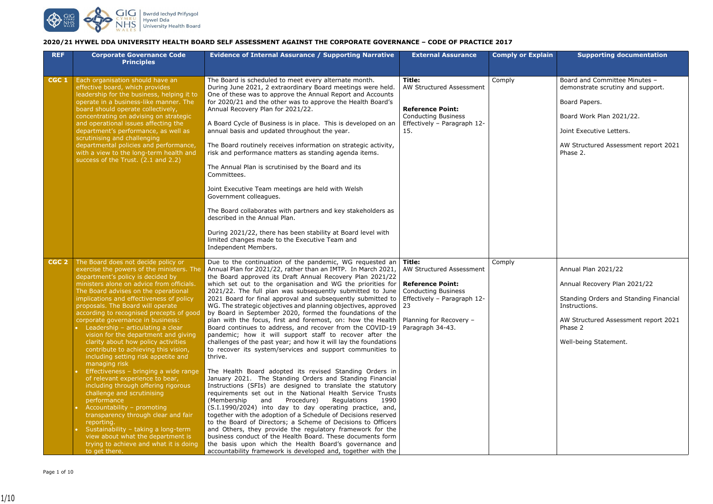## **2020/21 HYWEL DDA UNIVERSITY HEALTH BOARD SELF ASSESSMENT AGAINST THE CORPORATE GOVERNANCE – CODE OF PRACTICE 2017**

| <b>REF</b>       | <b>Corporate Governance Code</b><br><b>Principles</b>                                                                                                                                                                                                                                                                                                                                                                                                                                                                                                                                                                                                                                                                                                                                                                                                                                                                                                                                      | <b>Evidence of Internal Assurance / Supporting Narrative</b>                                                                                                                                                                                                                                                                                                                                                                                                                                                                                                                                                                                                                                                                                                                                                                                                                                                                                                                                                                                                                                                                                                                                                                                                                                                                                                                                                                                                                                                                                                                                                                                                            | <b>External Assurance</b>                                                                                                                | <b>Comply or Explain</b> | <b>Supporting documentation</b>                                                                                                                                                              |
|------------------|--------------------------------------------------------------------------------------------------------------------------------------------------------------------------------------------------------------------------------------------------------------------------------------------------------------------------------------------------------------------------------------------------------------------------------------------------------------------------------------------------------------------------------------------------------------------------------------------------------------------------------------------------------------------------------------------------------------------------------------------------------------------------------------------------------------------------------------------------------------------------------------------------------------------------------------------------------------------------------------------|-------------------------------------------------------------------------------------------------------------------------------------------------------------------------------------------------------------------------------------------------------------------------------------------------------------------------------------------------------------------------------------------------------------------------------------------------------------------------------------------------------------------------------------------------------------------------------------------------------------------------------------------------------------------------------------------------------------------------------------------------------------------------------------------------------------------------------------------------------------------------------------------------------------------------------------------------------------------------------------------------------------------------------------------------------------------------------------------------------------------------------------------------------------------------------------------------------------------------------------------------------------------------------------------------------------------------------------------------------------------------------------------------------------------------------------------------------------------------------------------------------------------------------------------------------------------------------------------------------------------------------------------------------------------------|------------------------------------------------------------------------------------------------------------------------------------------|--------------------------|----------------------------------------------------------------------------------------------------------------------------------------------------------------------------------------------|
| CGC <sub>1</sub> | Each organisation should have an<br>effective board, which provides<br>leadership for the business, helping it to<br>operate in a business-like manner. The<br>board should operate collectively,<br>concentrating on advising on strategic<br>and operational issues affecting the<br>department's performance, as well as<br>scrutinising and challenging<br>departmental policies and performance,<br>with a view to the long-term health and<br>success of the Trust. (2.1 and 2.2)                                                                                                                                                                                                                                                                                                                                                                                                                                                                                                    | The Board is scheduled to meet every alternate month.<br>During June 2021, 2 extraordinary Board meetings were held.<br>One of these was to approve the Annual Report and Accounts<br>for 2020/21 and the other was to approve the Health Board's<br>Annual Recovery Plan for 2021/22.<br>A Board Cycle of Business is in place. This is developed on an<br>annual basis and updated throughout the year.<br>The Board routinely receives information on strategic activity,<br>risk and performance matters as standing agenda items.<br>The Annual Plan is scrutinised by the Board and its<br>Committees.<br>Joint Executive Team meetings are held with Welsh<br>Government colleagues.<br>The Board collaborates with partners and key stakeholders as<br>described in the Annual Plan.<br>During 2021/22, there has been stability at Board level with<br>limited changes made to the Executive Team and<br>Independent Members.                                                                                                                                                                                                                                                                                                                                                                                                                                                                                                                                                                                                                                                                                                                                  | Title:<br><b>AW Structured Assessment</b><br><b>Reference Point:</b><br><b>Conducting Business</b><br>Effectively - Paragraph 12-<br>15. | Comply                   | Board and Committee Minutes -<br>demonstrate scrutiny and support.<br>Board Papers.<br>Board Work Plan 2021/22.<br>Joint Executive Letters.<br>AW Structured Assessment report 2<br>Phase 2. |
| CGC <sub>2</sub> | The Board does not decide policy or<br>exercise the powers of the ministers. The<br>department's policy is decided by<br>ministers alone on advice from officials.<br>The Board advises on the operational<br>implications and effectiveness of policy<br>proposals. The Board will operate<br>according to recognised precepts of good<br>corporate governance in business:<br>Leadership - articulating a clear<br>vision for the department and giving<br>clarity about how policy activities<br>contribute to achieving this vision,<br>including setting risk appetite and<br>managing risk<br>Effectiveness - bringing a wide range<br>of relevant experience to bear,<br>including through offering rigorous<br>challenge and scrutinising<br>performance<br>Accountability - promoting<br>transparency through clear and fair<br>reporting.<br>Sustainability - taking a long-term<br>view about what the department is<br>trying to achieve and what it is doing<br>to get there. | Due to the continuation of the pandemic, WG requested an<br>Annual Plan for 2021/22, rather than an IMTP. In March 2021,<br>the Board approved its Draft Annual Recovery Plan 2021/22<br>which set out to the organisation and WG the priorities for<br>2021/22. The full plan was subsequently submitted to June<br>2021 Board for final approval and subsequently submitted to<br>WG. The strategic objectives and planning objectives, approved   23<br>by Board in September 2020, formed the foundations of the<br>plan with the focus, first and foremost, on: how the Health   Planning for Recovery –<br>Board continues to address, and recover from the COVID-19   Paragraph 34-43.<br>pandemic; how it will support staff to recover after the<br>challenges of the past year; and how it will lay the foundations<br>to recover its system/services and support communities to<br>thrive.<br>The Health Board adopted its revised Standing Orders in<br>January 2021. The Standing Orders and Standing Financial<br>Instructions (SFIs) are designed to translate the statutory<br>requirements set out in the National Health Service Trusts<br>(Membership<br>Procedure)<br>Regulations<br>and<br>1990<br>(S.I.1990/2024) into day to day operating practice, and,<br>together with the adoption of a Schedule of Decisions reserved<br>to the Board of Directors; a Scheme of Decisions to Officers<br>and Others, they provide the regulatory framework for the<br>business conduct of the Health Board. These documents form<br>the basis upon which the Health Board's governance and<br>accountability framework is developed and, together with the | $\vert$ Title:<br>AW Structured Assessment<br><b>Reference Point:</b><br>  Conducting Business<br>Effectively - Paragraph 12-            | Comply                   | Annual Plan 2021/22<br>Annual Recovery Plan 2021/22<br>Standing Orders and Standing Finar<br>Instructions.<br>AW Structured Assessment report 2<br>Phase 2<br>Well-being Statement.          |

| <b>Comply or Explain</b> | <b>Supporting documentation</b>                                    |
|--------------------------|--------------------------------------------------------------------|
|                          |                                                                    |
| Comply                   | Board and Committee Minutes -<br>demonstrate scrutiny and support. |
|                          | Board Papers.                                                      |
|                          | Board Work Plan 2021/22.                                           |
|                          | Joint Executive Letters.                                           |
|                          | AW Structured Assessment report 2021<br>Phase 2.                   |
|                          |                                                                    |
|                          |                                                                    |
|                          |                                                                    |
|                          |                                                                    |
|                          |                                                                    |
|                          |                                                                    |
| Comply                   |                                                                    |
|                          | Annual Plan 2021/22                                                |
|                          | Annual Recovery Plan 2021/22                                       |
|                          | Standing Orders and Standing Financial<br>Instructions.            |
|                          | AW Structured Assessment report 2021<br>Phase 2                    |
|                          | Well-being Statement.                                              |
|                          |                                                                    |
|                          |                                                                    |
|                          |                                                                    |
|                          |                                                                    |
|                          |                                                                    |
|                          |                                                                    |
|                          |                                                                    |
|                          |                                                                    |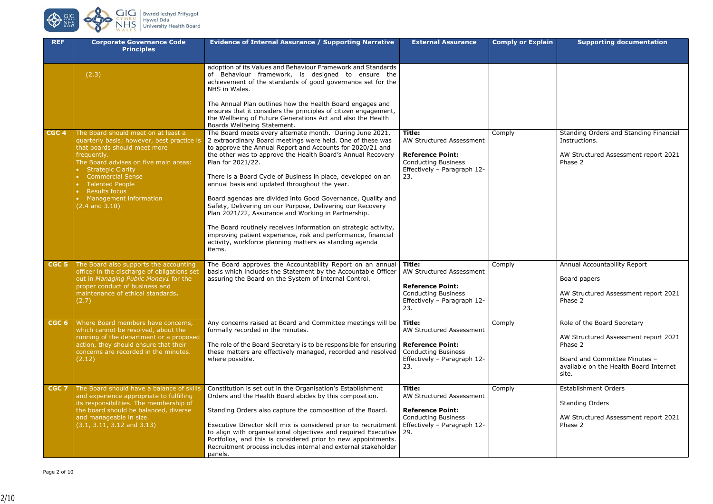

| <b>REF</b>       | <b>Corporate Governance Code</b><br><b>Principles</b>                                                                                                                                                                                                                                                                           | <b>Evidence of Internal Assurance / Supporting Narrative</b>                                                                                                                                                                                                                                                                                                                                                                                                                                                                                                                                                                                                                                                                                                                          | <b>External Assurance</b>                                                                                                                | <b>Comply or Explain</b> | <b>Supporting documentation</b>                                                                                                                              |
|------------------|---------------------------------------------------------------------------------------------------------------------------------------------------------------------------------------------------------------------------------------------------------------------------------------------------------------------------------|---------------------------------------------------------------------------------------------------------------------------------------------------------------------------------------------------------------------------------------------------------------------------------------------------------------------------------------------------------------------------------------------------------------------------------------------------------------------------------------------------------------------------------------------------------------------------------------------------------------------------------------------------------------------------------------------------------------------------------------------------------------------------------------|------------------------------------------------------------------------------------------------------------------------------------------|--------------------------|--------------------------------------------------------------------------------------------------------------------------------------------------------------|
|                  | (2.3)                                                                                                                                                                                                                                                                                                                           | adoption of its Values and Behaviour Framework and Standards<br>of Behaviour framework, is designed to ensure the<br>achievement of the standards of good governance set for the<br>NHS in Wales.                                                                                                                                                                                                                                                                                                                                                                                                                                                                                                                                                                                     |                                                                                                                                          |                          |                                                                                                                                                              |
|                  |                                                                                                                                                                                                                                                                                                                                 | The Annual Plan outlines how the Health Board engages and<br>ensures that it considers the principles of citizen engagement,<br>the Wellbeing of Future Generations Act and also the Health<br>Boards Wellbeing Statement.                                                                                                                                                                                                                                                                                                                                                                                                                                                                                                                                                            |                                                                                                                                          |                          |                                                                                                                                                              |
| CGC <sub>4</sub> | The Board should meet on at least a<br>quarterly basis; however, best practice is<br>that boards should meet more<br>frequently.<br>The Board advises on five main areas:<br>• Strategic Clarity<br><b>Commercial Sense</b><br><b>Talented People</b><br><b>Results focus</b><br>• Management information<br>$(2.4$ and $3.10)$ | The Board meets every alternate month. During June 2021,<br>2 extraordinary Board meetings were held. One of these was<br>to approve the Annual Report and Accounts for 2020/21 and<br>the other was to approve the Health Board's Annual Recovery<br>Plan for 2021/22.<br>There is a Board Cycle of Business in place, developed on an<br>annual basis and updated throughout the year.<br>Board agendas are divided into Good Governance, Quality and<br>Safety, Delivering on our Purpose, Delivering our Recovery<br>Plan 2021/22, Assurance and Working in Partnership.<br>The Board routinely receives information on strategic activity,<br>improving patient experience, risk and performance, financial<br>activity, workforce planning matters as standing agenda<br>items. | <b>Title:</b><br>AW Structured Assessment<br><b>Reference Point:</b><br><b>Conducting Business</b><br>Effectively - Paragraph 12-<br>23. | Comply                   | Standing Orders and Standing Finar<br>Instructions.<br>AW Structured Assessment report 2<br>Phase 2                                                          |
| CGC <sub>5</sub> | The Board also supports the accounting<br>officer in the discharge of obligations set<br>out in Managing Public Money1 for the<br>proper conduct of business and<br>maintenance of ethical standards.<br>(2.7)                                                                                                                  | The Board approves the Accountability Report on an annual<br>basis which includes the Statement by the Accountable Officer<br>assuring the Board on the System of Internal Control.                                                                                                                                                                                                                                                                                                                                                                                                                                                                                                                                                                                                   | Title:<br>AW Structured Assessment<br><b>Reference Point:</b><br><b>Conducting Business</b><br>Effectively - Paragraph 12-<br>23.        | Comply                   | Annual Accountability Report<br>Board papers<br>AW Structured Assessment report 2<br>Phase 2                                                                 |
| CGC <sub>6</sub> | Where Board members have concerns,<br>which cannot be resolved, about the<br>running of the department or a proposed<br>action, they should ensure that their<br>concerns are recorded in the minutes.<br>(2.12)                                                                                                                | Any concerns raised at Board and Committee meetings will be<br>formally recorded in the minutes.<br>The role of the Board Secretary is to be responsible for ensuring<br>these matters are effectively managed, recorded and resolved<br>where possible.                                                                                                                                                                                                                                                                                                                                                                                                                                                                                                                              | Title:<br>AW Structured Assessment<br><b>Reference Point:</b><br><b>Conducting Business</b><br>Effectively - Paragraph 12-<br>23.        | Comply                   | Role of the Board Secretary<br>AW Structured Assessment report 2<br>Phase 2<br>Board and Committee Minutes -<br>available on the Health Board Inter<br>site. |
| CGC <sub>7</sub> | The Board should have a balance of skills<br>and experience appropriate to fulfilling<br>its responsibilities. The membership of<br>the board should be balanced, diverse<br>and manageable in size.<br>$(3.1, 3.11, 3.12 \text{ and } 3.13)$                                                                                   | Constitution is set out in the Organisation's Establishment<br>Orders and the Health Board abides by this composition.<br>Standing Orders also capture the composition of the Board.<br>Executive Director skill mix is considered prior to recruitment<br>to align with organisational objectives and required Executive   29.<br>Portfolios, and this is considered prior to new appointments.<br>Recruitment process includes internal and external stakeholder<br>panels.                                                                                                                                                                                                                                                                                                         | Title:<br>AW Structured Assessment<br><b>Reference Point:</b><br><b>Conducting Business</b><br>Effectively - Paragraph 12-               | Comply                   | <b>Establishment Orders</b><br><b>Standing Orders</b><br>AW Structured Assessment report 2<br>Phase 2                                                        |

| <b>Comply or Explain</b> | <b>Supporting documentation</b>                                                  |
|--------------------------|----------------------------------------------------------------------------------|
|                          |                                                                                  |
| Comply                   | Standing Orders and Standing Financial<br>Instructions.                          |
|                          | AW Structured Assessment report 2021<br>Phase 2                                  |
| Comply                   | Annual Accountability Report                                                     |
|                          | Board papers<br>AW Structured Assessment report 2021<br>Phase 2                  |
| Comply                   | Role of the Board Secretary                                                      |
|                          | AW Structured Assessment report 2021<br>Phase 2                                  |
|                          | Board and Committee Minutes -<br>available on the Health Board Internet<br>site. |
| Comply                   | <b>Establishment Orders</b>                                                      |
|                          | <b>Standing Orders</b>                                                           |
|                          | AW Structured Assessment report 2021<br>Phase 2                                  |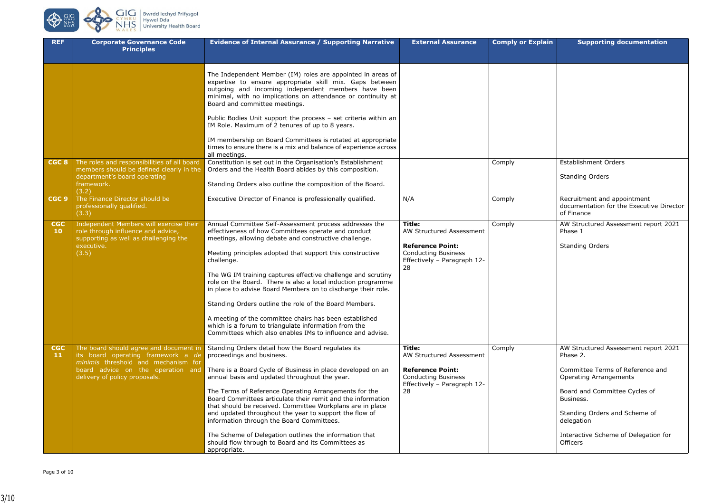| <b>Comply or Explain</b> | <b>Supporting documentation</b>                                                       |
|--------------------------|---------------------------------------------------------------------------------------|
|                          |                                                                                       |
|                          |                                                                                       |
| Comply                   | <b>Establishment Orders</b><br><b>Standing Orders</b>                                 |
| Comply                   | Recruitment and appointment<br>documentation for the Executive Director<br>of Finance |
| Comply                   | AW Structured Assessment report 2021<br>Phase 1<br><b>Standing Orders</b>             |
| Comply                   | AW Structured Assessment report 2021<br>Phase 2.                                      |
|                          | Committee Terms of Reference and<br><b>Operating Arrangements</b>                     |
|                          | Board and Committee Cycles of<br>Business.                                            |
|                          | Standing Orders and Scheme of<br>delegation                                           |
|                          | Interactive Scheme of Delegation for<br><b>Officers</b>                               |



| <b>REF</b>                    | <b>Corporate Governance Code</b><br><b>Principles</b>                                                                                                | <b>Evidence of Internal Assurance / Supporting Narrative</b>                                                                                                                                                                                                                                                                                                                                                                                                                                                                                                                                                                                                                                | <b>External Assurance</b>                                                                                                        | <b>Comply or Explain</b> | <b>Supporting documentation</b>                                                                                                                                                                                                                                    |
|-------------------------------|------------------------------------------------------------------------------------------------------------------------------------------------------|---------------------------------------------------------------------------------------------------------------------------------------------------------------------------------------------------------------------------------------------------------------------------------------------------------------------------------------------------------------------------------------------------------------------------------------------------------------------------------------------------------------------------------------------------------------------------------------------------------------------------------------------------------------------------------------------|----------------------------------------------------------------------------------------------------------------------------------|--------------------------|--------------------------------------------------------------------------------------------------------------------------------------------------------------------------------------------------------------------------------------------------------------------|
|                               |                                                                                                                                                      | The Independent Member (IM) roles are appointed in areas of<br>expertise to ensure appropriate skill mix. Gaps between<br>outgoing and incoming independent members have been<br>minimal, with no implications on attendance or continuity at<br>Board and committee meetings.<br>Public Bodies Unit support the process - set criteria within an<br>IM Role. Maximum of 2 tenures of up to 8 years.<br>IM membership on Board Committees is rotated at appropriate<br>times to ensure there is a mix and balance of experience across<br>all meetings.                                                                                                                                     |                                                                                                                                  |                          |                                                                                                                                                                                                                                                                    |
| CGC 8                         | The roles and responsibilities of all board<br>members should be defined clearly in the<br>department's board operating<br>framework.<br>(3.2)       | Constitution is set out in the Organisation's Establishment<br>Orders and the Health Board abides by this composition.<br>Standing Orders also outline the composition of the Board.                                                                                                                                                                                                                                                                                                                                                                                                                                                                                                        |                                                                                                                                  | Comply                   | <b>Establishment Orders</b><br><b>Standing Orders</b>                                                                                                                                                                                                              |
| CGC <sub>9</sub>              | The Finance Director should be<br>professionally qualified.<br>(3.3)                                                                                 | Executive Director of Finance is professionally qualified.                                                                                                                                                                                                                                                                                                                                                                                                                                                                                                                                                                                                                                  | N/A                                                                                                                              | Comply                   | Recruitment and appointment<br>documentation for the Executive Di<br>of Finance                                                                                                                                                                                    |
| <b>CGC</b><br>10 <sub>1</sub> | Independent Members will exercise their<br>role through influence and advice,<br>supporting as well as challenging the<br>executive.<br>(3.5)        | Annual Committee Self-Assessment process addresses the<br>effectiveness of how Committees operate and conduct<br>meetings, allowing debate and constructive challenge.<br>Meeting principles adopted that support this constructive<br>challenge.<br>The WG IM training captures effective challenge and scrutiny<br>role on the Board. There is also a local induction programme<br>in place to advise Board Members on to discharge their role.<br>Standing Orders outline the role of the Board Members.<br>A meeting of the committee chairs has been established<br>which is a forum to triangulate information from the<br>Committees which also enables IMs to influence and advise. | Title:<br>AW Structured Assessment<br><b>Reference Point:</b><br><b>Conducting Business</b><br>Effectively - Paragraph 12-<br>28 | Comply                   | AW Structured Assessment report 2<br>Phase 1<br><b>Standing Orders</b>                                                                                                                                                                                             |
| <b>CGC</b><br>11 <sub>1</sub> | The board should agree and document in<br>its board operating framework a de<br>minimis threshold and mechanism for<br>delivery of policy proposals. | Standing Orders detail how the Board regulates its<br>proceedings and business.<br>board advice on the operation and There is a Board Cycle of Business in place developed on an<br>annual basis and updated throughout the year.<br>The Terms of Reference Operating Arrangements for the<br>Board Committees articulate their remit and the information<br>that should be received. Committee Workplans are in place<br>and updated throughout the year to support the flow of<br>information through the Board Committees.<br>The Scheme of Delegation outlines the information that<br>should flow through to Board and its Committees as<br>appropriate.                               | Title:<br>AW Structured Assessment<br><b>Reference Point:</b><br><b>Conducting Business</b><br>Effectively - Paragraph 12-<br>28 | Comply                   | AW Structured Assessment report 2<br>Phase 2.<br>Committee Terms of Reference and<br><b>Operating Arrangements</b><br>Board and Committee Cycles of<br>Business.<br>Standing Orders and Scheme of<br>delegation<br>Interactive Scheme of Delegation fo<br>Officers |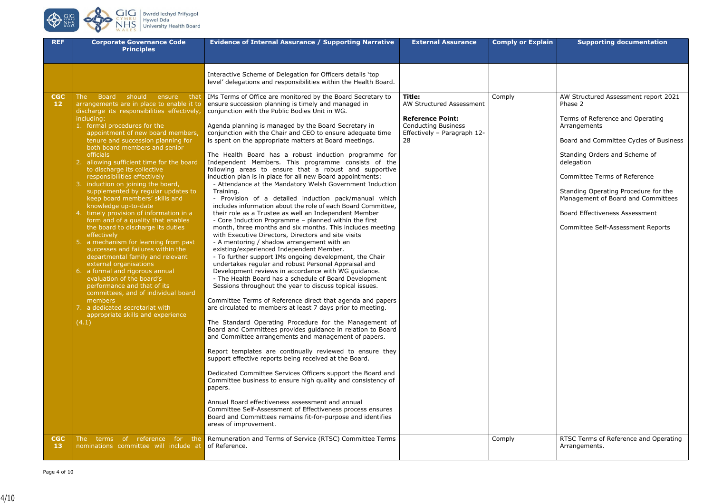**CONS** CIC



| <b>REF</b>                     | <b>Corporate Governance Code</b><br><b>Principles</b>                                                                                                                                                                                                                                                                                                                                                                                                                                                                                                                                                                                                                                                                                                                                                                                                                                                                                                                                                                                                                              | <b>Evidence of Internal Assurance / Supporting Narrative</b>                                                                                                                                                                                                                                                                                                                                                                                                                                                                                                                                                                                                                                                                                                                                                                                                                                                                                                                                                                                                                                                                                                                                                                                                                                                                                                                                                                                                                                                                                                                                                                                                                                                                                                                                                                                                                                                                                                                                                                                                                                                                                                                                                                                                                                                 | <b>External Assurance</b>                                                                                                        | <b>Comply or Explain</b> | <b>Supporting documentation</b>                                                                                                                                                                                                                                                                                                                                                                                                          |
|--------------------------------|------------------------------------------------------------------------------------------------------------------------------------------------------------------------------------------------------------------------------------------------------------------------------------------------------------------------------------------------------------------------------------------------------------------------------------------------------------------------------------------------------------------------------------------------------------------------------------------------------------------------------------------------------------------------------------------------------------------------------------------------------------------------------------------------------------------------------------------------------------------------------------------------------------------------------------------------------------------------------------------------------------------------------------------------------------------------------------|--------------------------------------------------------------------------------------------------------------------------------------------------------------------------------------------------------------------------------------------------------------------------------------------------------------------------------------------------------------------------------------------------------------------------------------------------------------------------------------------------------------------------------------------------------------------------------------------------------------------------------------------------------------------------------------------------------------------------------------------------------------------------------------------------------------------------------------------------------------------------------------------------------------------------------------------------------------------------------------------------------------------------------------------------------------------------------------------------------------------------------------------------------------------------------------------------------------------------------------------------------------------------------------------------------------------------------------------------------------------------------------------------------------------------------------------------------------------------------------------------------------------------------------------------------------------------------------------------------------------------------------------------------------------------------------------------------------------------------------------------------------------------------------------------------------------------------------------------------------------------------------------------------------------------------------------------------------------------------------------------------------------------------------------------------------------------------------------------------------------------------------------------------------------------------------------------------------------------------------------------------------------------------------------------------------|----------------------------------------------------------------------------------------------------------------------------------|--------------------------|------------------------------------------------------------------------------------------------------------------------------------------------------------------------------------------------------------------------------------------------------------------------------------------------------------------------------------------------------------------------------------------------------------------------------------------|
|                                |                                                                                                                                                                                                                                                                                                                                                                                                                                                                                                                                                                                                                                                                                                                                                                                                                                                                                                                                                                                                                                                                                    | Interactive Scheme of Delegation for Officers details 'top<br>level' delegations and responsibilities within the Health Board.                                                                                                                                                                                                                                                                                                                                                                                                                                                                                                                                                                                                                                                                                                                                                                                                                                                                                                                                                                                                                                                                                                                                                                                                                                                                                                                                                                                                                                                                                                                                                                                                                                                                                                                                                                                                                                                                                                                                                                                                                                                                                                                                                                               |                                                                                                                                  |                          |                                                                                                                                                                                                                                                                                                                                                                                                                                          |
| <b>CGC</b><br>12<br><b>CGC</b> | <b>Board</b><br>should<br>that<br>The<br>ensure<br>arrangements are in place to enable it to<br>discharge its responsibilities effectively,<br>including:<br>1. formal procedures for the<br>appointment of new board members,<br>tenure and succession planning for<br>both board members and senior<br>officials<br>allowing sufficient time for the board<br>to discharge its collective<br>responsibilities effectively<br>induction on joining the board,<br>supplemented by regular updates to<br>keep board members' skills and<br>knowledge up-to-date<br>timely provision of information in a<br>form and of a quality that enables<br>the board to discharge its duties<br>effectively<br>5. a mechanism for learning from past<br>successes and failures within the<br>departmental family and relevant<br>external organisations<br>6. a formal and rigorous annual<br>evaluation of the board's<br>performance and that of its<br>committees, and of individual board<br>members<br>a dedicated secretariat with<br>appropriate skills and experience<br>(4.1)<br>The | IMs Terms of Office are monitored by the Board Secretary to<br>ensure succession planning is timely and managed in<br>conjunction with the Public Bodies Unit in WG.<br>Agenda planning is managed by the Board Secretary in<br>conjunction with the Chair and CEO to ensure adequate time<br>is spent on the appropriate matters at Board meetings.<br>The Health Board has a robust induction programme for<br>Independent Members. This programme consists of the<br>following areas to ensure that a robust and supportive<br>induction plan is in place for all new Board appointments:<br>- Attendance at the Mandatory Welsh Government Induction<br>Training.<br>- Provision of a detailed induction pack/manual which<br>includes information about the role of each Board Committee,<br>their role as a Trustee as well an Independent Member<br>- Core Induction Programme - planned within the first<br>month, three months and six months. This includes meeting<br>with Executive Directors, Directors and site visits<br>- A mentoring / shadow arrangement with an<br>existing/experienced Independent Member.<br>- To further support IMs ongoing development, the Chair<br>undertakes regular and robust Personal Appraisal and<br>Development reviews in accordance with WG guidance.<br>- The Health Board has a schedule of Board Development<br>Sessions throughout the year to discuss topical issues.<br>Committee Terms of Reference direct that agenda and papers<br>are circulated to members at least 7 days prior to meeting.<br>The Standard Operating Procedure for the Management of<br>Board and Committees provides guidance in relation to Board<br>and Committee arrangements and management of papers.<br>Report templates are continually reviewed to ensure they<br>support effective reports being received at the Board.<br>Dedicated Committee Services Officers support the Board and<br>Committee business to ensure high quality and consistency of<br>papers.<br>Annual Board effectiveness assessment and annual<br>Committee Self-Assessment of Effectiveness process ensures<br>Board and Committees remains fit-for-purpose and identifies<br>areas of improvement.<br>terms of reference for the Remuneration and Terms of Service (RTSC) Committee Terms | Title:<br>AW Structured Assessment<br><b>Reference Point:</b><br><b>Conducting Business</b><br>Effectively - Paragraph 12-<br>28 | Comply<br>Comply         | AW Structured Assessment report 2021<br>Phase 2<br>Terms of Reference and Operating<br>Arrangements<br>Board and Committee Cycles of Business<br>Standing Orders and Scheme of<br>delegation<br><b>Committee Terms of Reference</b><br>Standing Operating Procedure for the<br>Management of Board and Committees<br>Board Effectiveness Assessment<br><b>Committee Self-Assessment Reports</b><br>RTSC Terms of Reference and Operating |
| 13                             | nominations committee will include at of Reference.                                                                                                                                                                                                                                                                                                                                                                                                                                                                                                                                                                                                                                                                                                                                                                                                                                                                                                                                                                                                                                |                                                                                                                                                                                                                                                                                                                                                                                                                                                                                                                                                                                                                                                                                                                                                                                                                                                                                                                                                                                                                                                                                                                                                                                                                                                                                                                                                                                                                                                                                                                                                                                                                                                                                                                                                                                                                                                                                                                                                                                                                                                                                                                                                                                                                                                                                                              |                                                                                                                                  |                          | Arrangements.                                                                                                                                                                                                                                                                                                                                                                                                                            |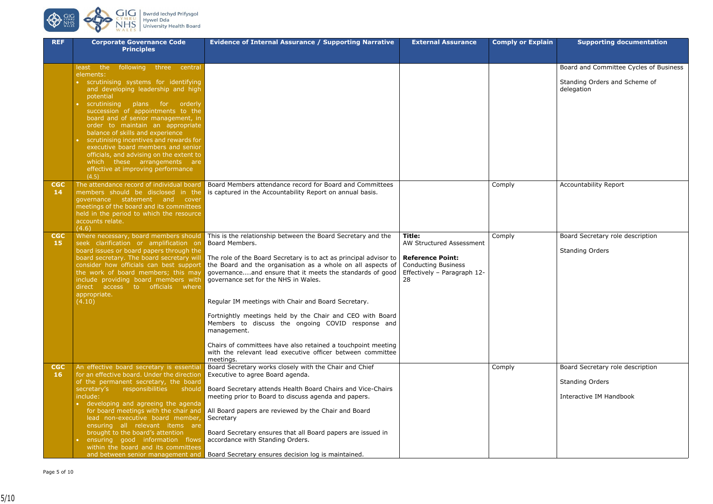

| <b>REF</b>      | <b>Corporate Governance Code</b>                                                     | <b>Evidence of Internal Assurance / Supporting Narrative</b>                                                                     | <b>External Assurance</b>                             | <b>Comply or Explain</b> | <b>Supporting documentation</b>        |
|-----------------|--------------------------------------------------------------------------------------|----------------------------------------------------------------------------------------------------------------------------------|-------------------------------------------------------|--------------------------|----------------------------------------|
|                 | <b>Principles</b>                                                                    |                                                                                                                                  |                                                       |                          |                                        |
|                 | following three central<br>least the                                                 |                                                                                                                                  |                                                       |                          | Board and Committee Cycles of Business |
|                 | elements:                                                                            |                                                                                                                                  |                                                       |                          |                                        |
|                 | • scrutinising systems for identifying                                               |                                                                                                                                  |                                                       |                          | Standing Orders and Scheme of          |
|                 | and developing leadership and high<br>potential                                      |                                                                                                                                  |                                                       |                          | delegation                             |
|                 | scrutinising plans for orderly                                                       |                                                                                                                                  |                                                       |                          |                                        |
|                 | succession of appointments to the                                                    |                                                                                                                                  |                                                       |                          |                                        |
|                 | board and of senior management, in<br>order to maintain an appropriate               |                                                                                                                                  |                                                       |                          |                                        |
|                 | balance of skills and experience                                                     |                                                                                                                                  |                                                       |                          |                                        |
|                 | scrutinising incentives and rewards for                                              |                                                                                                                                  |                                                       |                          |                                        |
|                 | executive board members and senior<br>officials, and advising on the extent to       |                                                                                                                                  |                                                       |                          |                                        |
|                 | which these arrangements are                                                         |                                                                                                                                  |                                                       |                          |                                        |
|                 | effective at improving performance                                                   |                                                                                                                                  |                                                       |                          |                                        |
| <b>CGC</b>      | (4.5)<br>The attendance record of individual board                                   | Board Members attendance record for Board and Committees                                                                         |                                                       | Comply                   | Accountability Report                  |
| 14              | members should be disclosed in the                                                   | is captured in the Accountability Report on annual basis.                                                                        |                                                       |                          |                                        |
|                 | governance statement and<br>cover<br>meetings of the board and its committees        |                                                                                                                                  |                                                       |                          |                                        |
|                 | held in the period to which the resource                                             |                                                                                                                                  |                                                       |                          |                                        |
|                 | accounts relate.                                                                     |                                                                                                                                  |                                                       |                          |                                        |
| <b>CGC</b>      | (4.6)<br>Where necessary, board members should                                       | This is the relationship between the Board Secretary and the                                                                     | Title:                                                | Comply                   | Board Secretary role description       |
| 15              | seek clarification or amplification on                                               | Board Members.                                                                                                                   | AW Structured Assessment                              |                          |                                        |
|                 | board issues or board papers through the                                             |                                                                                                                                  |                                                       |                          | <b>Standing Orders</b>                 |
|                 | board secretary. The board secretary will<br>consider how officials can best support | The role of the Board Secretary is to act as principal advisor to<br>the Board and the organisation as a whole on all aspects of | <b>Reference Point:</b><br><b>Conducting Business</b> |                          |                                        |
|                 | the work of board members; this may                                                  | governanceand ensure that it meets the standards of good                                                                         | Effectively - Paragraph 12-                           |                          |                                        |
|                 | include providing board members with<br>direct access to officials where             | governance set for the NHS in Wales.                                                                                             | 28                                                    |                          |                                        |
|                 | appropriate.                                                                         |                                                                                                                                  |                                                       |                          |                                        |
|                 | (4.10)                                                                               | Regular IM meetings with Chair and Board Secretary.                                                                              |                                                       |                          |                                        |
|                 |                                                                                      | Fortnightly meetings held by the Chair and CEO with Board                                                                        |                                                       |                          |                                        |
|                 |                                                                                      | Members to discuss the ongoing COVID response and<br>management.                                                                 |                                                       |                          |                                        |
|                 |                                                                                      |                                                                                                                                  |                                                       |                          |                                        |
|                 |                                                                                      | Chairs of committees have also retained a touchpoint meeting<br>with the relevant lead executive officer between committee       |                                                       |                          |                                        |
|                 |                                                                                      | meetings.                                                                                                                        |                                                       |                          |                                        |
| <b>CGC</b>      | An effective board secretary is essential                                            | Board Secretary works closely with the Chair and Chief                                                                           |                                                       | Comply                   | Board Secretary role description       |
| 16 <sub>1</sub> | for an effective board. Under the direction<br>of the permanent secretary, the board | Executive to agree Board agenda.                                                                                                 |                                                       |                          | <b>Standing Orders</b>                 |
|                 | secretary's responsibilities should                                                  | Board Secretary attends Health Board Chairs and Vice-Chairs                                                                      |                                                       |                          |                                        |
|                 | include:                                                                             | meeting prior to Board to discuss agenda and papers.                                                                             |                                                       |                          | Interactive IM Handbook                |
|                 | • developing and agreeing the agenda<br>for board meetings with the chair and        | All Board papers are reviewed by the Chair and Board                                                                             |                                                       |                          |                                        |
|                 | lead non-executive board member,                                                     | Secretary                                                                                                                        |                                                       |                          |                                        |
|                 | ensuring all relevant items are                                                      |                                                                                                                                  |                                                       |                          |                                        |
|                 | brought to the board's attention<br>ensuring good information flows                  | Board Secretary ensures that all Board papers are issued in<br>accordance with Standing Orders.                                  |                                                       |                          |                                        |
|                 | within the board and its committees                                                  |                                                                                                                                  |                                                       |                          |                                        |
|                 | and between senior management and                                                    | Board Secretary ensures decision log is maintained.                                                                              |                                                       |                          |                                        |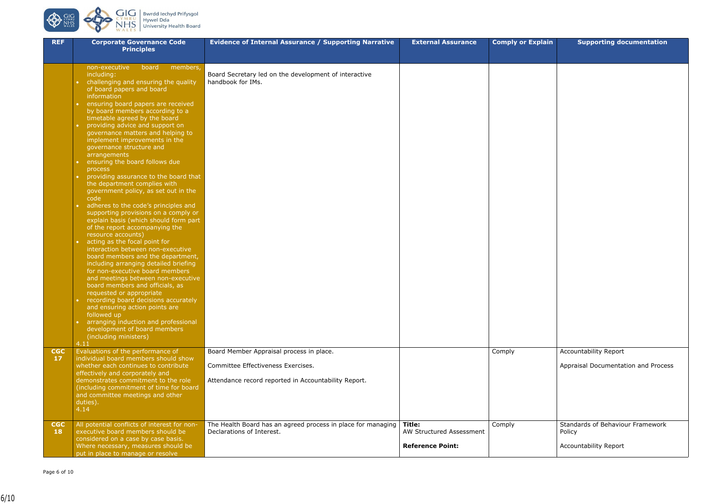Page 6 of 10



| $\sim$           | <b>BWIGGICCITYGITIIYSGOI</b>   |
|------------------|--------------------------------|
| MRU              | Hywel Dda                      |
| $\frac{HS}{LES}$ | <b>University Health Board</b> |
|                  |                                |

| <b>REF</b>              | <b>Corporate Governance Code</b><br><b>Principles</b>                                                                                                                                                                                                                                    | <b>Evidence of Internal Assurance / Supporting Narrative</b>                              | <b>External Assurance</b>                                     | <b>Comply or Explain</b> | <b>Supporting documentation</b>                                     |
|-------------------------|------------------------------------------------------------------------------------------------------------------------------------------------------------------------------------------------------------------------------------------------------------------------------------------|-------------------------------------------------------------------------------------------|---------------------------------------------------------------|--------------------------|---------------------------------------------------------------------|
|                         |                                                                                                                                                                                                                                                                                          |                                                                                           |                                                               |                          |                                                                     |
|                         | non-executive<br>members,<br>board<br>including:<br>challenging and ensuring the quality<br>of board papers and board                                                                                                                                                                    | Board Secretary led on the development of interactive<br>handbook for IMs.                |                                                               |                          |                                                                     |
|                         | information<br>ensuring board papers are received<br>by board members according to a<br>timetable agreed by the board                                                                                                                                                                    |                                                                                           |                                                               |                          |                                                                     |
|                         | providing advice and support on<br>governance matters and helping to<br>implement improvements in the<br>governance structure and<br>arrangements                                                                                                                                        |                                                                                           |                                                               |                          |                                                                     |
|                         | ensuring the board follows due<br>process<br>providing assurance to the board that<br>the department complies with<br>government policy, as set out in the<br>code                                                                                                                       |                                                                                           |                                                               |                          |                                                                     |
|                         | adheres to the code's principles and<br>supporting provisions on a comply or<br>explain basis (which should form part<br>of the report accompanying the<br>resource accounts)                                                                                                            |                                                                                           |                                                               |                          |                                                                     |
|                         | acting as the focal point for<br>interaction between non-executive<br>board members and the department,<br>including arranging detailed briefing<br>for non-executive board members<br>and meetings between non-executive<br>board members and officials, as<br>requested or appropriate |                                                                                           |                                                               |                          |                                                                     |
|                         | recording board decisions accurately<br>and ensuring action points are<br>followed up<br>arranging induction and professional<br>development of board members<br>(including ministers)                                                                                                   |                                                                                           |                                                               |                          |                                                                     |
| <b>CGC</b>              | 4.11<br>Evaluations of the performance of                                                                                                                                                                                                                                                | Board Member Appraisal process in place.                                                  |                                                               | Comply                   | Accountability Report                                               |
| 17                      | individual board members should show<br>whether each continues to contribute<br>effectively and corporately and                                                                                                                                                                          | Committee Effectiveness Exercises.                                                        |                                                               |                          | Appraisal Documentation and Process                                 |
|                         | demonstrates commitment to the role<br>(including commitment of time for board<br>and committee meetings and other<br>duties).<br>4.14                                                                                                                                                   | Attendance record reported in Accountability Report.                                      |                                                               |                          |                                                                     |
| <b>CGC</b><br><b>18</b> | All potential conflicts of interest for non-<br>executive board members should be<br>considered on a case by case basis.<br>Where necessary, measures should be<br>put in place to manage or resolve                                                                                     | The Health Board has an agreed process in place for managing<br>Declarations of Interest. | Title:<br>AW Structured Assessment<br><b>Reference Point:</b> | Comply                   | Standards of Behaviour Framework<br>Policy<br>Accountability Report |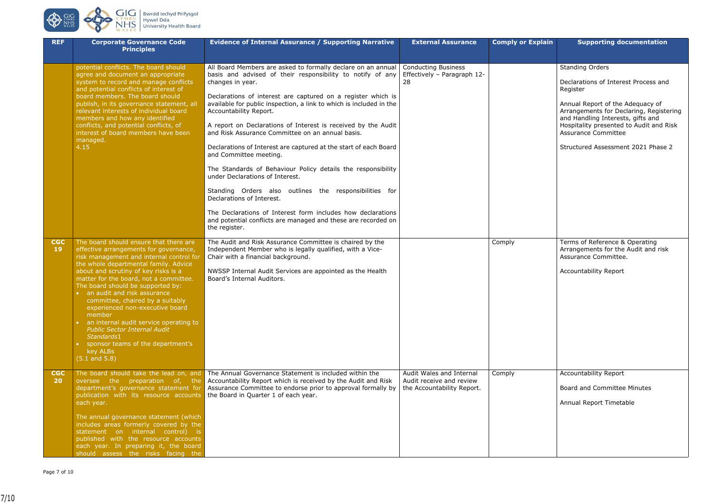

| <b>REF</b>              | <b>Corporate Governance Code</b><br><b>Principles</b>                                                                                                                                                                                                                                                                                                                                                                                                                                                                                                                                   | <b>Evidence of Internal Assurance / Supporting Narrative</b>                                                                                                                                                                                                                                                                                                                                                                                                                                                                                                                                                                                                                                                                                                                                                                                                                  | <b>External Assurance</b>                                                          | <b>Comply or Explain</b> | <b>Supporting documentation</b>                                                                                                                                                                                                                                                                     |
|-------------------------|-----------------------------------------------------------------------------------------------------------------------------------------------------------------------------------------------------------------------------------------------------------------------------------------------------------------------------------------------------------------------------------------------------------------------------------------------------------------------------------------------------------------------------------------------------------------------------------------|-------------------------------------------------------------------------------------------------------------------------------------------------------------------------------------------------------------------------------------------------------------------------------------------------------------------------------------------------------------------------------------------------------------------------------------------------------------------------------------------------------------------------------------------------------------------------------------------------------------------------------------------------------------------------------------------------------------------------------------------------------------------------------------------------------------------------------------------------------------------------------|------------------------------------------------------------------------------------|--------------------------|-----------------------------------------------------------------------------------------------------------------------------------------------------------------------------------------------------------------------------------------------------------------------------------------------------|
|                         | potential conflicts. The board should<br>agree and document an appropriate<br>system to record and manage conflicts<br>and potential conflicts of interest of<br>board members. The board should<br>publish, in its governance statement, all<br>relevant interests of individual board<br>members and how any identified<br>conflicts, and potential conflicts, of<br>interest of board members have been<br>managed.<br>4.15                                                                                                                                                          | All Board Members are asked to formally declare on an annual<br>basis and advised of their responsibility to notify of any<br>changes in year.<br>Declarations of interest are captured on a register which is<br>available for public inspection, a link to which is included in the<br>Accountability Report.<br>A report on Declarations of Interest is received by the Audit<br>and Risk Assurance Committee on an annual basis.<br>Declarations of Interest are captured at the start of each Board<br>and Committee meeting.<br>The Standards of Behaviour Policy details the responsibility<br>under Declarations of Interest.<br>Standing Orders also outlines the responsibilities for<br>Declarations of Interest.<br>The Declarations of Interest form includes how declarations<br>and potential conflicts are managed and these are recorded on<br>the register. | <b>Conducting Business</b><br>Effectively - Paragraph 12-<br>28                    |                          | <b>Standing Orders</b><br>Declarations of Interest Process and<br>Register<br>Annual Report of the Adequacy of<br>Arrangements for Declaring, Regist<br>and Handling Interests, gifts and<br>Hospitality presented to Audit and F<br><b>Assurance Committee</b><br>Structured Assessment 2021 Phase |
| <b>CGC</b><br><b>19</b> | The board should ensure that there are<br>effective arrangements for governance,<br>risk management and internal control for<br>the whole departmental family. Advice<br>about and scrutiny of key risks is a<br>matter for the board, not a committee.<br>The board should be supported by:<br>• an audit and risk assurance<br>committee, chaired by a suitably<br>experienced non-executive board<br>member<br>• an internal audit service operating to<br><b>Public Sector Internal Audit</b><br>Standards1<br>• sponsor teams of the department's<br>key ALBs<br>$(5.1$ and $5.8)$ | The Audit and Risk Assurance Committee is chaired by the<br>Independent Member who is legally qualified, with a Vice-<br>Chair with a financial background.<br>NWSSP Internal Audit Services are appointed as the Health<br>Board's Internal Auditors.                                                                                                                                                                                                                                                                                                                                                                                                                                                                                                                                                                                                                        |                                                                                    | Comply                   | Terms of Reference & Operating<br>Arrangements for the Audit and risl<br>Assurance Committee.<br><b>Accountability Report</b>                                                                                                                                                                       |
| <b>CGC</b><br>20        | The board should take the lead on, and<br>oversee the preparation of, the<br>department's governance statement for<br>publication with its resource accounts<br>each year.<br>The annual governance statement (which<br>includes areas formerly covered by the<br>statement on internal control) is<br>published with the resource accounts<br>each year. In preparing it, the board<br>should assess the risks facing the                                                                                                                                                              | The Annual Governance Statement is included within the<br>Accountability Report which is received by the Audit and Risk<br>Assurance Committee to endorse prior to approval formally by<br>the Board in Quarter 1 of each year.                                                                                                                                                                                                                                                                                                                                                                                                                                                                                                                                                                                                                                               | Audit Wales and Internal<br>Audit receive and review<br>the Accountability Report. | Comply                   | <b>Accountability Report</b><br>Board and Committee Minutes<br>Annual Report Timetable                                                                                                                                                                                                              |

| <b>Comply or Explain</b> | <b>Supporting documentation</b>                                                                                                                                                           |
|--------------------------|-------------------------------------------------------------------------------------------------------------------------------------------------------------------------------------------|
|                          |                                                                                                                                                                                           |
|                          | <b>Standing Orders</b>                                                                                                                                                                    |
|                          | Declarations of Interest Process and<br>Register                                                                                                                                          |
|                          | Annual Report of the Adequacy of<br>Arrangements for Declaring, Registering<br>and Handling Interests, gifts and<br>Hospitality presented to Audit and Risk<br><b>Assurance Committee</b> |
|                          | Structured Assessment 2021 Phase 2                                                                                                                                                        |
|                          |                                                                                                                                                                                           |
|                          |                                                                                                                                                                                           |
|                          |                                                                                                                                                                                           |
|                          |                                                                                                                                                                                           |
| Comply                   | Terms of Reference & Operating<br>Arrangements for the Audit and risk<br>Assurance Committee.                                                                                             |
|                          | <b>Accountability Report</b>                                                                                                                                                              |
|                          |                                                                                                                                                                                           |
|                          |                                                                                                                                                                                           |
|                          |                                                                                                                                                                                           |
|                          |                                                                                                                                                                                           |
| Comply                   | <b>Accountability Report</b>                                                                                                                                                              |
|                          | <b>Board and Committee Minutes</b>                                                                                                                                                        |
|                          | Annual Report Timetable                                                                                                                                                                   |
|                          |                                                                                                                                                                                           |
|                          |                                                                                                                                                                                           |
|                          |                                                                                                                                                                                           |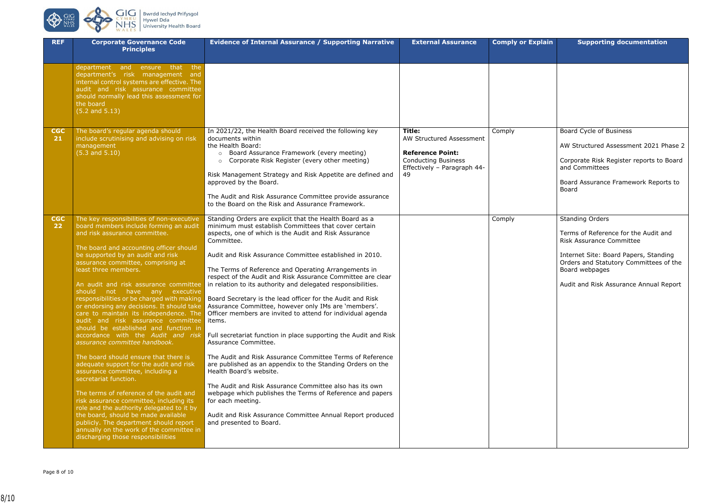

| J | <b>Bwrdd lechyd Prifysgol</b>  |
|---|--------------------------------|
| Ū | <b>Hywel Dda</b>               |
|   | <b>University Health Board</b> |
|   |                                |

| <b>REF</b>       | <b>Corporate Governance Code</b><br><b>Principles</b>                                                                                                                                                                                                                                                                                                                                                                                                                                                                                                                                                                                                                                                                                                                                                                                                                                                                                                                                                                                             | <b>Evidence of Internal Assurance / Supporting Narrative</b>                                                                                                                                                                                                                                                                                                                                                                                                                                                                                                                                                                                                                                                                                                                                                                                                                                                                                                                                                                                                                                                                                                              | <b>External Assurance</b>                                                                                                        | <b>Comply or Explain</b> | <b>Supporting documentation</b>                                                                                                                                                                                                                  |
|------------------|---------------------------------------------------------------------------------------------------------------------------------------------------------------------------------------------------------------------------------------------------------------------------------------------------------------------------------------------------------------------------------------------------------------------------------------------------------------------------------------------------------------------------------------------------------------------------------------------------------------------------------------------------------------------------------------------------------------------------------------------------------------------------------------------------------------------------------------------------------------------------------------------------------------------------------------------------------------------------------------------------------------------------------------------------|---------------------------------------------------------------------------------------------------------------------------------------------------------------------------------------------------------------------------------------------------------------------------------------------------------------------------------------------------------------------------------------------------------------------------------------------------------------------------------------------------------------------------------------------------------------------------------------------------------------------------------------------------------------------------------------------------------------------------------------------------------------------------------------------------------------------------------------------------------------------------------------------------------------------------------------------------------------------------------------------------------------------------------------------------------------------------------------------------------------------------------------------------------------------------|----------------------------------------------------------------------------------------------------------------------------------|--------------------------|--------------------------------------------------------------------------------------------------------------------------------------------------------------------------------------------------------------------------------------------------|
|                  | department and ensure that the<br>department's risk management and<br>internal control systems are effective. The<br>audit and risk assurance committee<br>should normally lead this assessment for<br>the board<br>$(5.2$ and $5.13)$                                                                                                                                                                                                                                                                                                                                                                                                                                                                                                                                                                                                                                                                                                                                                                                                            |                                                                                                                                                                                                                                                                                                                                                                                                                                                                                                                                                                                                                                                                                                                                                                                                                                                                                                                                                                                                                                                                                                                                                                           |                                                                                                                                  |                          |                                                                                                                                                                                                                                                  |
| <b>CGC</b><br>21 | The board's regular agenda should<br>include scrutinising and advising on risk<br>management<br>$(5.3$ and $5.10)$                                                                                                                                                                                                                                                                                                                                                                                                                                                                                                                                                                                                                                                                                                                                                                                                                                                                                                                                | In 2021/22, the Health Board received the following key<br>documents within<br>the Health Board:<br>Board Assurance Framework (every meeting)<br>$\circ$<br>Corporate Risk Register (every other meeting)<br>$\circ$<br>Risk Management Strategy and Risk Appetite are defined and<br>approved by the Board.<br>The Audit and Risk Assurance Committee provide assurance<br>to the Board on the Risk and Assurance Framework.                                                                                                                                                                                                                                                                                                                                                                                                                                                                                                                                                                                                                                                                                                                                             | Title:<br>AW Structured Assessment<br><b>Reference Point:</b><br><b>Conducting Business</b><br>Effectively - Paragraph 44-<br>49 | Comply                   | Board Cycle of Business<br>AW Structured Assessment 2021 Phase 2<br>Corporate Risk Register reports to Board<br>and Committees<br>Board Assurance Framework Reports to<br>Board                                                                  |
| <b>CGC</b><br>22 | The key responsibilities of non-executive<br>board members include forming an audit<br>and risk assurance committee.<br>The board and accounting officer should<br>be supported by an audit and risk<br>assurance committee, comprising at<br>least three members.<br>An audit and risk assurance committee<br>should not have any executive<br>or endorsing any decisions. It should take<br>care to maintain its independence. The<br>audit and risk assurance committee<br>should be established and function in<br>accordance with the Audit and risk<br>assurance committee handbook.<br>The board should ensure that there is<br>adequate support for the audit and risk<br>assurance committee, including a<br>secretariat function.<br>The terms of reference of the audit and<br>risk assurance committee, including its<br>role and the authority delegated to it by<br>the board, should be made available<br>publicly. The department should report<br>annually on the work of the committee in<br>discharging those responsibilities | Standing Orders are explicit that the Health Board as a<br>minimum must establish Committees that cover certain<br>aspects, one of which is the Audit and Risk Assurance<br>Committee.<br>Audit and Risk Assurance Committee established in 2010.<br>The Terms of Reference and Operating Arrangements in<br>respect of the Audit and Risk Assurance Committee are clear<br>in relation to its authority and delegated responsibilities.<br>responsibilities or be charged with making Board Secretary is the lead officer for the Audit and Risk<br>Assurance Committee, however only IMs are 'members'.<br>Officer members are invited to attend for individual agenda<br>items.<br>Full secretariat function in place supporting the Audit and Risk<br>Assurance Committee.<br>The Audit and Risk Assurance Committee Terms of Reference<br>are published as an appendix to the Standing Orders on the<br>Health Board's website.<br>The Audit and Risk Assurance Committee also has its own<br>webpage which publishes the Terms of Reference and papers<br>for each meeting.<br>Audit and Risk Assurance Committee Annual Report produced<br>and presented to Board. |                                                                                                                                  | Comply                   | <b>Standing Orders</b><br>Terms of Reference for the Audit and<br><b>Risk Assurance Committee</b><br>Internet Site: Board Papers, Standing<br>Orders and Statutory Committees of the<br>Board webpages<br>Audit and Risk Assurance Annual Report |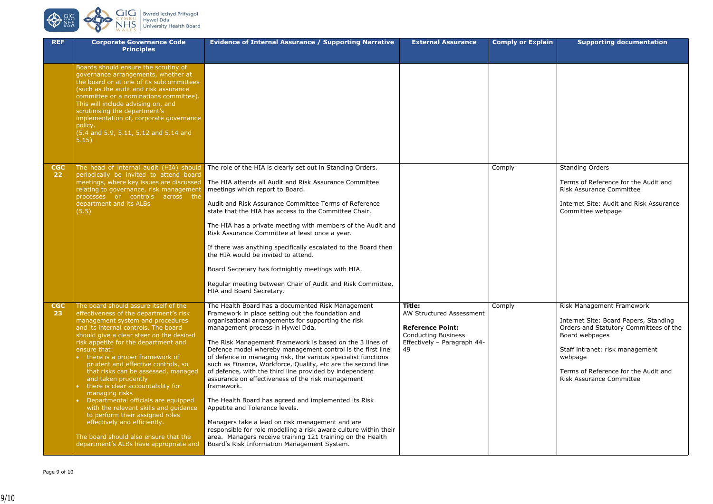

**REF Corporate Governance Code** 

|                               | <b>Principles</b>                                                                                                                                                                                                                                                                                                                                                                                                                                                                                                                                                                                                                                                                                                              |                                                                                                                                                                                                                                                                                                                                                                                                                                                                                                                                                                                                                                                                                                                                                                                                                                                                                                                          |                                                                                                                                  |        |
|-------------------------------|--------------------------------------------------------------------------------------------------------------------------------------------------------------------------------------------------------------------------------------------------------------------------------------------------------------------------------------------------------------------------------------------------------------------------------------------------------------------------------------------------------------------------------------------------------------------------------------------------------------------------------------------------------------------------------------------------------------------------------|--------------------------------------------------------------------------------------------------------------------------------------------------------------------------------------------------------------------------------------------------------------------------------------------------------------------------------------------------------------------------------------------------------------------------------------------------------------------------------------------------------------------------------------------------------------------------------------------------------------------------------------------------------------------------------------------------------------------------------------------------------------------------------------------------------------------------------------------------------------------------------------------------------------------------|----------------------------------------------------------------------------------------------------------------------------------|--------|
|                               | Boards should ensure the scrutiny of<br>governance arrangements, whether at<br>the board or at one of its subcommittees<br>(such as the audit and risk assurance<br>committee or a nominations committee).<br>This will include advising on, and<br>scrutinising the department's<br>implementation of, corporate governance<br>policy.<br>(5.4 and 5.9, 5.11, 5.12 and 5.14 and<br>5.15)                                                                                                                                                                                                                                                                                                                                      |                                                                                                                                                                                                                                                                                                                                                                                                                                                                                                                                                                                                                                                                                                                                                                                                                                                                                                                          |                                                                                                                                  |        |
| <b>CGC</b><br>22 <sub>2</sub> | The head of internal audit (HIA) should<br>periodically be invited to attend board<br>meetings, where key issues are discussed<br>relating to governance, risk management<br>processes or controls across the<br>department and its ALBs<br>(5.5)                                                                                                                                                                                                                                                                                                                                                                                                                                                                              | The role of the HIA is clearly set out in Standing Orders.<br>The HIA attends all Audit and Risk Assurance Committee<br>meetings which report to Board.<br>Audit and Risk Assurance Committee Terms of Reference<br>state that the HIA has access to the Committee Chair.<br>The HIA has a private meeting with members of the Audit and<br>Risk Assurance Committee at least once a year.<br>If there was anything specifically escalated to the Board then<br>the HIA would be invited to attend.<br>Board Secretary has fortnightly meetings with HIA.<br>Regular meeting between Chair of Audit and Risk Committee,<br>HIA and Board Secretary.                                                                                                                                                                                                                                                                      |                                                                                                                                  | Comply |
| <b>CGC</b><br>23              | The board should assure itself of the<br>effectiveness of the department's risk<br>management system and procedures<br>and its internal controls. The board<br>should give a clear steer on the desired<br>risk appetite for the department and<br>ensure that:<br>• there is a proper framework of<br>prudent and effective controls, so<br>that risks can be assessed, managed<br>and taken prudently<br>there is clear accountability for<br>$\bullet$<br>managing risks<br>Departmental officials are equipped<br>$\bullet$<br>with the relevant skills and guidance<br>to perform their assigned roles<br>effectively and efficiently.<br>The board should also ensure that the<br>department's ALBs have appropriate and | The Health Board has a documented Risk Management<br>Framework in place setting out the foundation and<br>organisational arrangements for supporting the risk<br>management process in Hywel Dda.<br>The Risk Management Framework is based on the 3 lines of<br>Defence model whereby management control is the first line<br>of defence in managing risk, the various specialist functions<br>such as Finance, Workforce, Quality, etc are the second line<br>of defence, with the third line provided by independent<br>assurance on effectiveness of the risk management<br>framework.<br>The Health Board has agreed and implemented its Risk<br>Appetite and Tolerance levels.<br>Managers take a lead on risk management and are<br>responsible for role modelling a risk aware culture within their<br>area. Managers receive training 121 training on the Health<br>Board's Risk Information Management System. | Title:<br>AW Structured Assessment<br><b>Reference Point:</b><br><b>Conducting Business</b><br>Effectively - Paragraph 44-<br>49 | Comply |

| <b>Evidence of Internal Assurance / Supporting Narrative</b>                                                                                                                                                                                                                                                                                                                                                                                                                                                                                                                               | <b>External Assurance</b>                                                                                                                      | <b>Comply or Explain</b> | <b>Supporting documentation</b>                                                                                                                                                                                                                         |
|--------------------------------------------------------------------------------------------------------------------------------------------------------------------------------------------------------------------------------------------------------------------------------------------------------------------------------------------------------------------------------------------------------------------------------------------------------------------------------------------------------------------------------------------------------------------------------------------|------------------------------------------------------------------------------------------------------------------------------------------------|--------------------------|---------------------------------------------------------------------------------------------------------------------------------------------------------------------------------------------------------------------------------------------------------|
|                                                                                                                                                                                                                                                                                                                                                                                                                                                                                                                                                                                            |                                                                                                                                                |                          |                                                                                                                                                                                                                                                         |
|                                                                                                                                                                                                                                                                                                                                                                                                                                                                                                                                                                                            |                                                                                                                                                |                          |                                                                                                                                                                                                                                                         |
| The role of the HIA is clearly set out in Standing Orders.                                                                                                                                                                                                                                                                                                                                                                                                                                                                                                                                 |                                                                                                                                                | Comply                   | <b>Standing Orders</b>                                                                                                                                                                                                                                  |
| The HIA attends all Audit and Risk Assurance Committee<br>meetings which report to Board.                                                                                                                                                                                                                                                                                                                                                                                                                                                                                                  |                                                                                                                                                |                          | Terms of Reference for the Audit and<br><b>Risk Assurance Committee</b>                                                                                                                                                                                 |
| Audit and Risk Assurance Committee Terms of Reference<br>state that the HIA has access to the Committee Chair.                                                                                                                                                                                                                                                                                                                                                                                                                                                                             |                                                                                                                                                |                          | Internet Site: Audit and Risk Assurance<br>Committee webpage                                                                                                                                                                                            |
| The HIA has a private meeting with members of the Audit and<br>Risk Assurance Committee at least once a year.                                                                                                                                                                                                                                                                                                                                                                                                                                                                              |                                                                                                                                                |                          |                                                                                                                                                                                                                                                         |
| If there was anything specifically escalated to the Board then<br>the HIA would be invited to attend.                                                                                                                                                                                                                                                                                                                                                                                                                                                                                      |                                                                                                                                                |                          |                                                                                                                                                                                                                                                         |
| Board Secretary has fortnightly meetings with HIA.                                                                                                                                                                                                                                                                                                                                                                                                                                                                                                                                         |                                                                                                                                                |                          |                                                                                                                                                                                                                                                         |
| Regular meeting between Chair of Audit and Risk Committee,<br>HIA and Board Secretary.                                                                                                                                                                                                                                                                                                                                                                                                                                                                                                     |                                                                                                                                                |                          |                                                                                                                                                                                                                                                         |
| The Health Board has a documented Risk Management<br>Framework in place setting out the foundation and<br>organisational arrangements for supporting the risk<br>management process in Hywel Dda.<br>The Risk Management Framework is based on the 3 lines of<br>Defence model whereby management control is the first line<br>of defence in managing risk, the various specialist functions<br>such as Finance, Workforce, Quality, etc are the second line<br>of defence, with the third line provided by independent<br>assurance on effectiveness of the risk management<br>framework. | <b>Title:</b><br><b>AW Structured Assessment</b><br><b>Reference Point:</b><br><b>Conducting Business</b><br>Effectively - Paragraph 44-<br>49 | Comply                   | Risk Management Framework<br>Internet Site: Board Papers, Standing<br>Orders and Statutory Committees of the<br>Board webpages<br>Staff intranet: risk management<br>webpage<br>Terms of Reference for the Audit and<br><b>Risk Assurance Committee</b> |
| The Health Board has agreed and implemented its Risk<br>Appetite and Tolerance levels.                                                                                                                                                                                                                                                                                                                                                                                                                                                                                                     |                                                                                                                                                |                          |                                                                                                                                                                                                                                                         |
| Managers take a lead on risk management and are<br>responsible for role modelling a risk aware culture within their<br>area. Managers receive training 121 training on the Health<br>Board's Risk Information Management System.                                                                                                                                                                                                                                                                                                                                                           |                                                                                                                                                |                          |                                                                                                                                                                                                                                                         |